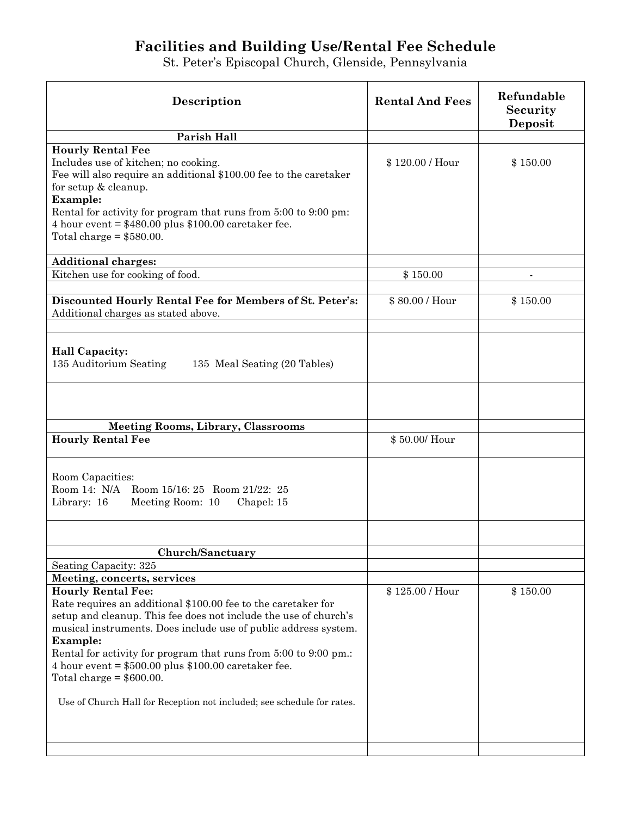## **Facilities and Building Use/Rental Fee Schedule**

St. Peter's Episcopal Church, Glenside, Pennsylvania

| Description                                                                                                                                                                                                                                                                                                                                                                                                                                                                                                              | <b>Rental And Fees</b> | Refundable<br>Security<br>Deposit |
|--------------------------------------------------------------------------------------------------------------------------------------------------------------------------------------------------------------------------------------------------------------------------------------------------------------------------------------------------------------------------------------------------------------------------------------------------------------------------------------------------------------------------|------------------------|-----------------------------------|
| Parish Hall                                                                                                                                                                                                                                                                                                                                                                                                                                                                                                              |                        |                                   |
| <b>Hourly Rental Fee</b><br>Includes use of kitchen; no cooking.<br>Fee will also require an additional \$100.00 fee to the caretaker<br>for setup & cleanup.<br><b>Example:</b><br>Rental for activity for program that runs from 5:00 to 9:00 pm:<br>4 hour event = $$480.00$ plus $$100.00$ caretaker fee.<br>Total charge $= $580.00$ .                                                                                                                                                                              | \$120.00 / Hour        | \$150.00                          |
| <b>Additional charges:</b>                                                                                                                                                                                                                                                                                                                                                                                                                                                                                               |                        |                                   |
| Kitchen use for cooking of food.                                                                                                                                                                                                                                                                                                                                                                                                                                                                                         | \$150.00               | $\blacksquare$                    |
| Discounted Hourly Rental Fee for Members of St. Peter's:<br>Additional charges as stated above.                                                                                                                                                                                                                                                                                                                                                                                                                          | \$80.00 / Hour         | \$150.00                          |
| <b>Hall Capacity:</b><br>135 Auditorium Seating<br>135 Meal Seating (20 Tables)                                                                                                                                                                                                                                                                                                                                                                                                                                          |                        |                                   |
| <b>Meeting Rooms, Library, Classrooms</b>                                                                                                                                                                                                                                                                                                                                                                                                                                                                                |                        |                                   |
| <b>Hourly Rental Fee</b>                                                                                                                                                                                                                                                                                                                                                                                                                                                                                                 | \$50.00/Hour           |                                   |
| Room Capacities:<br>Room 14: N/A Room 15/16: 25 Room 21/22: 25<br>Library: 16<br>Meeting Room: 10<br>Chapel: 15                                                                                                                                                                                                                                                                                                                                                                                                          |                        |                                   |
| Church/Sanctuary                                                                                                                                                                                                                                                                                                                                                                                                                                                                                                         |                        |                                   |
| Seating Capacity: 325                                                                                                                                                                                                                                                                                                                                                                                                                                                                                                    |                        |                                   |
| Meeting, concerts, services<br><b>Hourly Rental Fee:</b><br>Rate requires an additional \$100.00 fee to the caretaker for<br>setup and cleanup. This fee does not include the use of church's<br>musical instruments. Does include use of public address system.<br><b>Example:</b><br>Rental for activity for program that runs from 5:00 to 9:00 pm.:<br>4 hour event $= $500.00$ plus \$100.00 caretaker fee.<br>Total charge $= $600.00$ .<br>Use of Church Hall for Reception not included; see schedule for rates. | \$125.00 / Hour        | \$150.00                          |
|                                                                                                                                                                                                                                                                                                                                                                                                                                                                                                                          |                        |                                   |